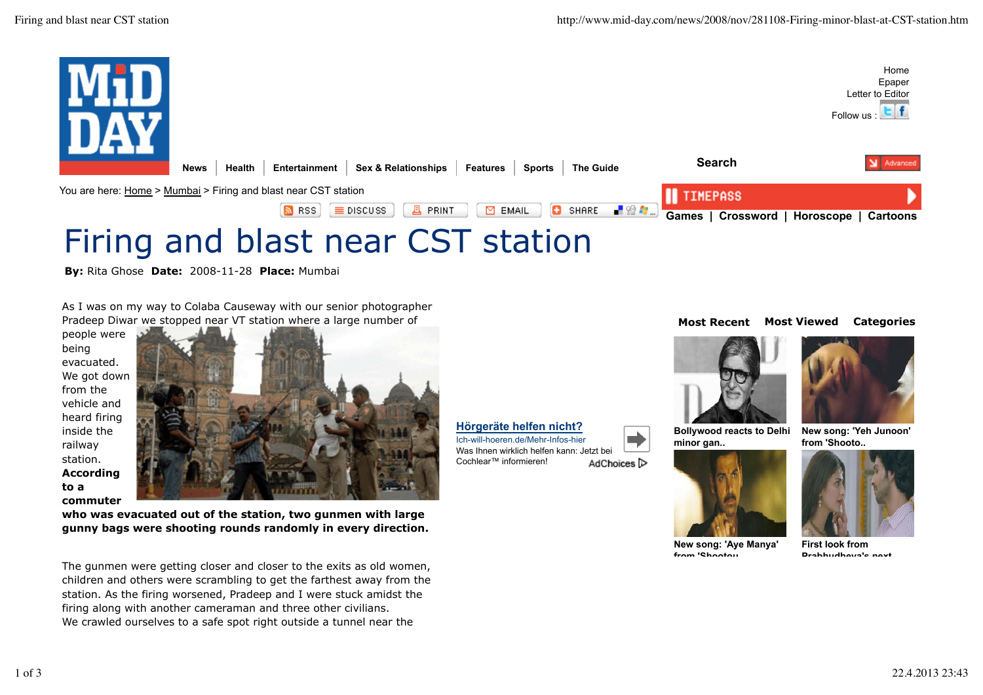

**Hörgeräte helfen nicht?** Ich-will-hoeren.de/Mehr-Infos-hier Was Ihnen wirklich helfen kann: Jetzt bei

AdChoices D

Cochlear™ informieren!

**By:** Rita Ghose **Date:** 2008-11-28 **Place:** Mumbai

As I was on my way to Colaba Causeway with our senior photographer Pradeep Diwar we stopped near VT station where a large number of

people were being evacuated. We got down from the vehicle and heard firing inside the railway station. **According to a commuter**



**who was evacuated out of the station, two gunmen with large gunny bags were shooting rounds randomly in every direction.**

The gunmen were getting closer and closer to the exits as old women, children and others were scrambling to get the farthest away from the station. As the firing worsened, Pradeep and I were stuck amidst the firing along with another cameraman and three other civilians. We crawled ourselves to a safe spot right outside a tunnel near the

## **Most Recent Most Viewed Categories**





**Bollywood reacts to Delhi minor gan..**



**from 'Shooto..**



**New song: 'Aye Manya' from 'Shootou..**

**First look from Prabhudheva's next ..**